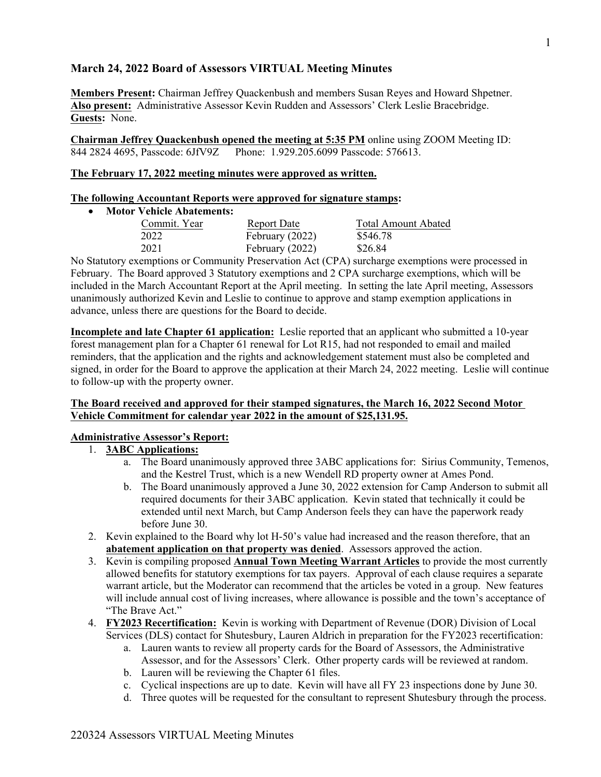## **March 24, 2022 Board of Assessors VIRTUAL Meeting Minutes**

**Members Present:** Chairman Jeffrey Quackenbush and members Susan Reyes and Howard Shpetner. **Also present:** Administrative Assessor Kevin Rudden and Assessors' Clerk Leslie Bracebridge. **Guests:** None.

**Chairman Jeffrey Quackenbush opened the meeting at 5:35 PM** online using ZOOM Meeting ID: 844 2824 4695, Passcode: 6JfV9Z Phone: 1.929.205.6099 Passcode: 576613.

### **The February 17, 2022 meeting minutes were approved as written.**

#### **The following Accountant Reports were approved for signature stamps:**

## **Motor Vehicle Abatements:**

| Commit. Year | Report Date       | Total Amount Abated                                                                                                           |
|--------------|-------------------|-------------------------------------------------------------------------------------------------------------------------------|
| 2022         | February $(2022)$ | \$546.78                                                                                                                      |
| 2021         | February $(2022)$ | \$26.84                                                                                                                       |
|              |                   | $N_{\alpha}$ Clear terms or considered an Community December $\Lambda$ of (CDA) queloges or constitute receptions of $\alpha$ |

No Statutory exemptions or Community Preservation Act (CPA) surcharge exemptions were processed in February. The Board approved 3 Statutory exemptions and 2 CPA surcharge exemptions, which will be included in the March Accountant Report at the April meeting. In setting the late April meeting, Assessors unanimously authorized Kevin and Leslie to continue to approve and stamp exemption applications in advance, unless there are questions for the Board to decide.

**Incomplete and late Chapter 61 application:** Leslie reported that an applicant who submitted a 10-year forest management plan for a Chapter 61 renewal for Lot R15, had not responded to email and mailed reminders, that the application and the rights and acknowledgement statement must also be completed and signed, in order for the Board to approve the application at their March 24, 2022 meeting. Leslie will continue to follow-up with the property owner.

#### **The Board received and approved for their stamped signatures, the March 16, 2022 Second Motor Vehicle Commitment for calendar year 2022 in the amount of \$25,131.95.**

#### **Administrative Assessor's Report:**

#### 1. **3ABC Applications:**

- a. The Board unanimously approved three 3ABC applications for: Sirius Community, Temenos, and the Kestrel Trust, which is a new Wendell RD property owner at Ames Pond.
- b. The Board unanimously approved a June 30, 2022 extension for Camp Anderson to submit all required documents for their 3ABC application. Kevin stated that technically it could be extended until next March, but Camp Anderson feels they can have the paperwork ready before June 30.
- 2. Kevin explained to the Board why lot H-50's value had increased and the reason therefore, that an **abatement application on that property was denied**. Assessors approved the action.
- 3. Kevin is compiling proposed **Annual Town Meeting Warrant Articles** to provide the most currently allowed benefits for statutory exemptions for tax payers. Approval of each clause requires a separate warrant article, but the Moderator can recommend that the articles be voted in a group. New features will include annual cost of living increases, where allowance is possible and the town's acceptance of "The Brave Act."
- 4. **FY2023 Recertification:** Kevin is working with Department of Revenue (DOR) Division of Local Services (DLS) contact for Shutesbury, Lauren Aldrich in preparation for the FY2023 recertification:
	- a. Lauren wants to review all property cards for the Board of Assessors, the Administrative Assessor, and for the Assessors' Clerk. Other property cards will be reviewed at random.
	- b. Lauren will be reviewing the Chapter 61 files.
	- c. Cyclical inspections are up to date. Kevin will have all FY 23 inspections done by June 30.
	- d. Three quotes will be requested for the consultant to represent Shutesbury through the process.